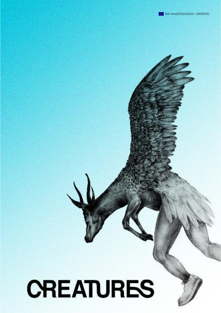

1

# **CREATURES**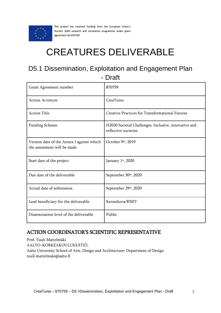

This project has received funding from the European Union's Horizon 2020 research and innovation programme under grant agreement No 870759

## CREATURES DELIVERABLE

## D5.1 Dissemination, Exploitation and Engagement Plan - Draft

| Grant Agreement number                                                   | 870759                                                                       |
|--------------------------------------------------------------------------|------------------------------------------------------------------------------|
| <b>Action Acronym</b>                                                    | CreaTures                                                                    |
| <b>Action Title</b>                                                      | Creative Practices for Transformational Futures                              |
| <b>Funding Scheme</b>                                                    | H2020 Societal Challenges: Inclusive, innovative and<br>reflective societies |
| Version date of the Annex I against which<br>the assessment will be made | October 9th, 2019                                                            |
| Start date of the project                                                | January 1st, 2020                                                            |
| Due date of the deliverable                                              | September 30th, 2020                                                         |
| Actual date of submission                                                | September 29th, 2020                                                         |
| Lead beneficiary for the deliverable                                     | Kersnikova/RMIT                                                              |
| Dissemination level of the deliverable                                   | Public                                                                       |

## ACTION COORDINATOR'S SCIENTIFIC REPRESENTATIVE

Prof. Tuuli Mattelmäki AALTO–KORKEAKOULUSÄÄTIÖ, Aalto University School of Arts, Design and Architecture: Department of Design tuuli.mattelmaki@aalto.fi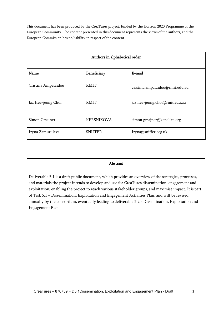This document has been produced by the CreaTures project, funded by the Horizon 2020 Programme of the European Community. The content presented in this document represents the views of the authors, and the European Commission has no liability in respect of the content.

| Authors in alphabetical order |                   |                                 |
|-------------------------------|-------------------|---------------------------------|
| <b>Name</b>                   | Beneficiary       | E-mail                          |
| Cristina Ampatzidou           | <b>RMIT</b>       | cristina.ampatzidou@rmit.edu.au |
| Jaz Hee-jeong Choi            | RMIT              | jaz.hee-jeong.choi@rmit.edu.au  |
| Simon Gmajner                 | <b>KERSNIKOVA</b> | simon.gmajner@kapelica.org      |
| Iryna Zamuruieva              | <b>SNIFFER</b>    | Iryna@sniffer.org.uk            |

#### Abstract

Deliverable 5.1 is a draft public document, which provides an overview of the strategies, processes, and materials the project intends to develop and use for CreaTures dissemination, engagement and exploitation, enabling the project to reach various stakeholder groups, and maximise impact. It is part of Task 5.1 – Dissemination, Exploitation and Engagement Activities Plan, and will be revised annually by the consortium, eventually leading to deliverable 5.2 - Dissemination, Exploitation and Engagement Plan.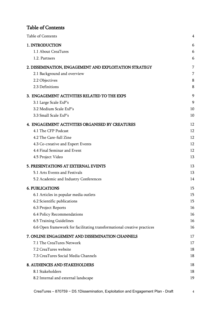## <span id="page-3-0"></span>Table of Contents

| Table of Contents                                                       | 4  |
|-------------------------------------------------------------------------|----|
| 1. INTRODUCTION                                                         | 6  |
| 1.1 About CreaTures                                                     | 6  |
| 1.2. Partners                                                           | 6  |
| 2. DISSEMINATION, ENGAGEMENT AND EXPLOITATION STRATEGY                  | 7  |
| 2.1 Background and overview                                             | 7  |
| 2.2 Objectives                                                          | 8  |
| 2.3 Definitions                                                         | 8  |
| 3. ENGAGEMENT ACTIVITIES RELATED TO THE EXPS                            | 9  |
| 3.1 Large Scale ExP's                                                   | 9  |
| 3.2 Medium Scale ExP's                                                  | 10 |
| 3.3 Small Scale ExP's                                                   | 10 |
| 4. ENGAGEMENT ACTIVITIES ORGANISED BY CREATURES                         | 12 |
| 4.1 The CFP Podcast                                                     | 12 |
| 4.2 The Care-full Zine                                                  | 12 |
| 4.3 Co-creative and Expert Events                                       | 12 |
| 4.4 Final Seminar and Event                                             | 12 |
| 4.5 Project Video                                                       | 13 |
| 5. PRESENTATIONS AT EXTERNAL EVENTS                                     | 13 |
| 5.1 Arts Events and Festivals                                           | 13 |
| 5.2 Academic and Industry Conferences                                   | 14 |
| <b>6. PUBLICATIONS</b>                                                  | 15 |
| 6.1 Articles in popular media outlets                                   | 15 |
| 6.2 Scientific publications                                             | 15 |
| 6.3 Project Reports                                                     | 16 |
| 6.4 Policy Recommendations                                              | 16 |
| 6.5 Training Guidelines                                                 | 16 |
| 6.6 Open framework for facilitating transformational creative practices | 16 |
| 7. ONLINE ENGAGEMENT AND DISSEMINATION CHANNELS                         | 17 |
| 7.1 The CreaTures Network                                               | 17 |
| 7.2 CreaTures website                                                   | 18 |
| 7.3 CreaTures Social Media Channels                                     | 18 |
| 8. AUDIENCES AND STAKEHOLDERS                                           | 18 |
| 8.1 Stakeholders                                                        | 18 |
| 8.2 Internal and external landscape                                     | 19 |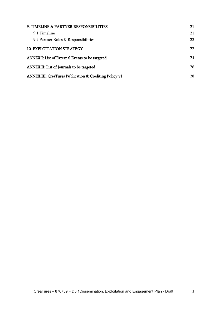| 9. TIMELINE & PARTNER RESPONSIBILITIES                 | 21 |
|--------------------------------------------------------|----|
| 9.1 Timeline                                           | 21 |
| 9.2 Partner Roles & Responsibilities                   | 22 |
| <b>10. EXPLOITATION STRATEGY</b>                       | 22 |
| ANNEX I: List of External Events to be targeted        | 24 |
| ANNEX II: List of Journals to be targeted              | 26 |
| ANNEX III: CreaTures Publication & Crediting Policy v1 | 28 |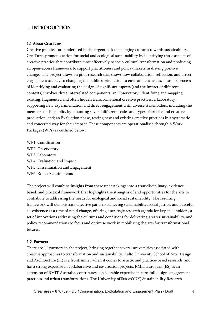## <span id="page-5-0"></span>1. INTRODUCTION

#### <span id="page-5-1"></span>1.1 About CreaTures

Creative practices are underused in the urgent task of changing cultures towards sustainability. CreaTures promotes action for social and ecological sustainability by identifying those aspects of creative practice that contribute most effectively to socio-cultural transformation and producing an open-access framework to support practitioners and policy-makers in driving positive change. The project draws on pilot research that shows how collaboration, reflection, and direct engagement are key to changing the public's orientation to environment issues. Thus, its process of identifying and evaluating the design of significant aspects (and the impact of different contexts) involves three interrelated components: an Observatory, identifying and mapping existing, fragmented and often hidden transformational creative practices; a Laboratory, supporting new experimentation and direct engagement with diverse stakeholders, including the members of the public, by mounting several different scales and types of artistic and creative production, and; an Evaluation phase, testing new and existing creative practices in a systematic and concerted way for their impact. These components are operationalised through 6 Work Packages (WPs) as outlined below:

WP1: Coordination WP2: Observatory WP3: Laboratory WP4: Evaluation and Impact WP5: Dissemination and Engagement WP6: Ethics Requirements

The project will combine insights from these undertakings into a transdisciplinary, evidencebased, and practical framework that highlights the strengths of and opportunities for the arts to contribute to addressing the needs for ecological and social sustainability. The resulting framework will demonstrate effective paths to achieving sustainability, social justice, and peaceful co-existence at a time of rapid change, offering a strategic research agenda for key stakeholders, a set of innovations addressing the cultures and conditions for delivering greater sustainability, and policy recommendations to focus and optimise work in mobilizing the arts for transformational futures.

#### <span id="page-5-2"></span>1.2. Partners

There are 11 partners in the project, bringing together several universities associated with creative approaches to transformation and sustainability. Aalto University School of Arts, Design and Architecture (FI) is a frontrunner when it comes to artistic and practice-based research, and has a strong expertise in collaborative and co-creation projects. RMIT European (ES) as an extension of RMIT Australia, contributes considerable expertise in care-full design, engagement practices and urban transformations. The University of Sussex'(UK) Sustainability Research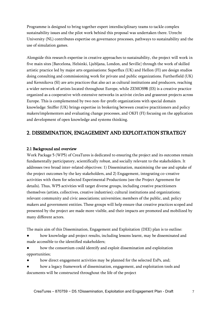Programme is designed to bring together expert interdisciplinary teams to tackle complex sustainability issues and the pilot work behind this proposal was undertaken there. Utrecht University (NL) contributes expertise on governance processes, pathways to sustainability and the use of simulation games.

Alongside this research expertise in creative approaches to sustainability, the project will work in five main sites [Barcelona, Helsinki, Ljubljana, London, and Seville] through the work of skilled artistic practice led by major arts organisations: Superflux (UK) and Hellon (FI) are design studios doing consulting and commissioning work for private and public organizations. Furtherfield (UK) and Kersnikova (SI) are arts practices that also act as cultural institutions and producers, reaching a wider network of artists located throughout Europe, while ZEMOS98 (ES) is a creative practice organized as a cooperative with extensive networks in activist circles and grassroot projects across Europe. This is complemented by two non-for-profit organizations with special domain knowledge: Sniffer (UK) brings expertise in brokering between creative practitioners and policy makers/implementers and evaluating change processes, and OKFI (FI) focusing on the application and development of open knowledge and systems thinking.

## <span id="page-6-0"></span>2. DISSEMINATION, ENGAGEMENT AND EXPLOITATION STRATEGY

#### <span id="page-6-1"></span>2.1 Background and overview

Work Package 5 (WP5) of CreaTures is dedicated to ensuring the project and its outcomes remain fundamentally participatory, scientifically robust, and socially relevant to the stakeholders. It addresses two broad inter-related objectives: 1) Dissemination, maximising the use and uptake of the project outcomes by the key stakeholders, and 2) Engagement, integrating co-creative activities with them for selected Experimental Productions (see the Project Agreement for details). Thus, WP5 activities will target diverse groups, including creative practitioners themselves (artists, collectives, creative industries); cultural institutions and organizations; relevant community and civic associations; universities; members of the public, and; policy makers and government entities. These groups will help ensure that creative practices scoped and presented by the project are made more visible, and their impacts are promoted and mobilized by many different actors.

The main aim of this Dissemination, Engagement and Exploitation (DEE) plan is to outline:

- how knowledge and project results, including lessons learnt, may be disseminated and made accessible to the identified stakeholders;
- how the consortium could identify and exploit dissemination and exploitation opportunities;
- how direct engagement activities may be planned for the selected ExPs, and;
- how a legacy framework of dissemination, engagement, and exploitation tools and documents will be constructed throughout the life of the project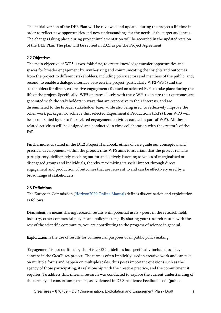This initial version of the DEE Plan will be reviewed and updated during the project's lifetime in order to reflect new opportunities and new understandings for the needs of the target audiences. The changes taking place during project implementation will be recorded in the updated version of the DEE Plan. The plan will be revised in 2021 as per the Project Agreement.

#### <span id="page-7-0"></span>2.2 Objectives

The main objective of WP5 is two-fold: first, to create knowledge transfer opportunities and spaces for broader engagement by synthesizing and communicating the insights and outcomes from the project to different stakeholders, including policy actors and members of the public, and; second, to enable a dialogic interface between the project (particularly WP2-WP4) and the stakeholders for direct, co-creative engagements focused on selected ExPs to take place during the life of the project. Specifically, WP5 operates closely with these WPs to ensure their outcomes are generated with the stakeholders in ways that are responsive to their interests, and are disseminated to the broader stakeholder base, while also being used to reflexively improve the other work packages. To achieve this, selected Experimental Productions (ExPs) from WP3 will be accompanied by up to four related engagement activities curated as part of WP5. All these related activities will be designed and conducted in close collaboration with the creator/s of the ExP.

Furthermore, as stated in the D1.2 Project Handbook, ethics of care guide our conceptual and practical developments within the project; thus WP5 aims to ascertain that the project remains participatory, deliberately reaching out for and actively listening to voices of marginalised or disengaged groups and individuals, thereby maximizing its social impact through direct engagement and production of outcomes that are relevant to and can be effectively used by a broad range of stakeholders.

#### <span id="page-7-1"></span>2.3 Definitions

The European Commission [\(Horizon2020 Online Manual\)](https://ec.europa.eu/research/participants/docs/h2020-funding-guide/grants/grant-management/dissemination-of-results_en.htm) defines dissemination and exploitation as follows:

Dissemination means sharing research results with potential users - peers in the research field, industry, other commercial players and policymakers). By sharing your research results with the rest of the scientific community, you are contributing to the progress of science in general.

Exploitation is the use of results for commercial purposes or in public policymaking.

'Engagement' is not outlined by the H2020 EC guidelines but specifically included as a key concept in the CreaTures project. The term is often implicitly used in creative work and can take on multiple forms and happen on multiple scales, thus poses important questions such as the agency of those participating, its relationship with the creative practice, and the commitment it requires. To address this, internal research was conducted to explore the current understanding of the term by all consortium partners, as evidenced in D5.3 Audience Feedback Tool (public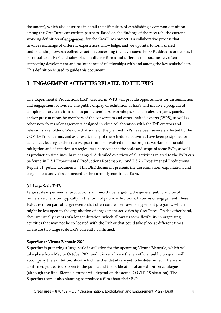document), which also describes in detail the difficulties of establishing a common definition among the CreaTures consortium partners. Based on the findings of the research, the current working definition of engagement for the CreaTures project is a collaborative process that involves exchange of different experiences, knowledge, and viewpoints, to form shared understanding towards collective action concerning the key issue/s the ExP addresses or evokes. It is central to an ExP, and takes place in diverse forms and different temporal scales, often supporting development and maintenance of relationships with and among the key stakeholders. This definition is used to guide this document.

## <span id="page-8-0"></span>3. ENGAGEMENT ACTIVITIES RELATED TO THE EXPS

The Experimental Productions (ExP) created in WP3 will provide opportunities for dissemination and engagement activities. The public display or exhibition of ExPs will involve a program of complementary activities such as public seminars, workshops, science cafes, art jams, panels, and/or presentations by members of the consortium and other invited experts (WP5), as well as other new forms of engagements designed in close collaboration with the ExP creators and relevant stakeholders. We note that some of the planned ExPs have been severely affected by the COVID-19 pandemic, and as a result, many of the scheduled activities have been postponed or cancelled, leading to the creative practitioners involved in these projects working on possible mitigation and adaptation strategies. As a consequence the scale and scope of some ExPs, as well as production timelines, have changed. A detailed overview of all activities related to the ExPs can be found in D3.1 Experimental Productions Roadmap v.1 and D3.7 - Experimental Productions Report v1 (public documents). This DEE document presents the dissemination, exploitation, and engagement activities connected to the currently confirmed ExPs.

#### <span id="page-8-1"></span>3.1 Large Scale ExP's

Large scale experimental productions will mostly be targeting the general public and be of immersive character, typically in the form of public exhibitions. In terms of engagement, these ExPs are often part of larger events that often curate their own engagement programs, which might be less open to the organisation of engagement activities by CreaTures. On the other hand, they are usually events of a longer duration, which allows us some flexibility in organising activities that may not be co-located with the ExP or that could take place at different times. There are two large scale ExPs currently confirmed:

#### Superflux at Vienna Biennale 2021

Superflux is preparing a large-scale installation for the upcoming Vienna Biennale, which will take place from May to October 2021 and it is very likely that an official public program will accompany the exhibition, about which further details are yet to be determined. There are confirmed guided tours open to the public and the publication of an exhibition catalogue (although the final Biennale format will depend on the actual COVID-19 situation). The Superflux team is also planning to produce a film about their ExP.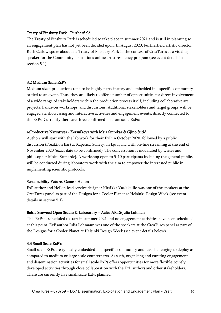#### Treaty of Finsbury Park - Furtherfield

The Treaty of Finsbury Park is scheduled to take place in summer 2021 and is still in planning so an engagement plan has not yet been decided upon. In August 2020, Furtherfield artistic director Ruth Catlow spoke about The Treaty of Finsbury Park in the context of CreaTures as a visiting speaker for the Community Transitions online artist residency program (see event details in section 5.1).

#### <span id="page-9-0"></span>3.2 Medium Scale ExP's

Medium sized productions tend to be highly participatory and embedded in a specific community or tied to an event. Thus, they are likely to offer a number of opportunities for direct involvement of a wide range of stakeholders within the production process itself, including collaborative art projects, hands-on workshops, and discussions. Additional stakeholders and target groups will be engaged via showcasing and interactive activities and engagement events, directly connected to the ExPs. Currently there are three confirmed medium scale ExPs:

#### reProductive Narratives - Kersnikova with Maja Smrekar & Gjino Šutić

Authors will start with the lab work for their ExP in October 2020, followed by a public discussion (Freaktion Bar) at Kapelica Gallery, in Ljubljana with on-line streaming at the end of November 2020 (exact date to be confirmed). The conversation is moderated by writer and philosopher Mojca Kumerdej. A workshop open to 5-10 participants including the general public, will be conducted during laboratory work with the aim to empower the interested public in implementing scientific protocols.

#### Sustainability Futures Game - Hellon

ExP author and Hellon lead service designer Kirsikka Vaajakallio was one of the speakers at the CreaTures panel as part of the Designs for a Cooler Planet at Helsinki Design Week (see event details in section 5.1).

#### Baltic Seaweed Open Studio & Laboratory – Aalto ARTS/Julia Lohman

This ExPs is scheduled to start in summer 2021 and no engagement activities have been scheduled at this point. ExP author Julia Lohmann was one of the speakers at the CreaTures panel as part of the Designs for a Cooler Planet at Helsinki Design Week (see event details below).

#### <span id="page-9-1"></span>3.3 Small Scale ExP's

Small scale ExPs are typically embedded in a specific community and less challenging to deploy as compared to medium or large scale counterparts. As such, organising and curating engagement and dissemination activities for small scale ExPs offers opportunities for more flexible, jointly developed activities through close collaboration with the ExP authors and other stakeholders. There are currently five small scale ExPs planned: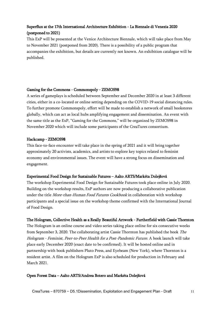### Superflux at the 17th International Architecture Exhibition - La Biennale di Venezia 2020 (postponed to 2021)

This ExP will be presented at the Venice Architecture Biennale, which will take place from May to November 2021 (postponed from 2020). There is a possibility of a public program that accompanies the exhibition, but details are currently not known. An exhibition catalogue will be published.

#### Gaming for the Commons - Commonspoly - ZEMOS98

A series of gameplays is scheduled between September and December 2020 in at least 3 different cities, either in a co-located or online setting depending on the COVID-19 social distancing rules. To further promote Commonspoly, effort will be made to establish a network of small bookstores globally, which can act as local hubs amplifying engagement and dissemination. An event with the same title as the ExP, "Gaming for the Commons," will be organized by ZEMOS98 in November 2020 which will include some participants of the CreaTures consortium.

#### Hackcamp - ZEMOS98

This face-to-face encounter will take place in the spring of 2021 and it will bring together approximately 20 activists, academics, and artists to explore key topics related to feminist economy and environmental issues. The event will have a strong focus on dissemination and engagement.

#### Experimental Food Design for Sustainable Futures – Aalto ARTS/Markéta Dolejšová

The workshop Experimental Food Design for Sustainable Futures took place online in July 2020. Building on the workshop results, ExP authors are now producing a collaborative publication under the title More-than-Human Food Futures Cookbook in collaboration with workshop participants and a special issue on the workshop theme confirmed with the International Journal of Food Design.

#### The Hologram, Collective Health as a Really Beautiful Artwork - Furtherfield with Cassie Thornton

The Hologram is an online course and video series taking place online for six consecutive weeks from September 3, 2020. The collaborating artist Cassie Thornton has published the book The Hologram - Feminist, Peer-to-Peer Health for a Post-Pandemic Future. A book launch will take place early December 2020 (exact date to be confirmed). It will be hosted online and in partnership with book publishers Pluto Press, and Eyebeam (New York), where Thornton is a resident artist. A film on the Hologram ExP is also scheduled for production in February and March 2021.

#### Open Forest Data – Aalto ARTS/Andrea Botero and Markéta Dolejšová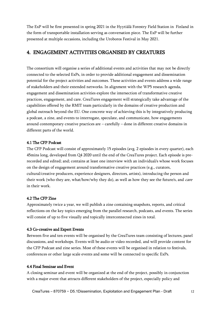The ExP will be first presented in spring 2021 in the Hyytiälä Forestry Field Station in Finland in the form of transportable installation serving as conversation piece. The ExP will be further presented at multiple occasions, including the Uroboros Festival in May 2021.

## <span id="page-11-0"></span>4. ENGAGEMENT ACTIVITIES ORGANISED BY CREATURES

The consortium will organise a series of additional events and activities that may not be directly connected to the selected ExPs, in order to provide additional engagement and dissemination potential for the project activities and outcomes. These activities and events address a wide range of stakeholders and their extended networks. In alignment with the WP5 research agenda, engagement and dissemination activities explore the intersection of transformative creative practices, engagement, and care. CreaTures engagement will strategically take advantage of the capabilities offered by the RMIT team particularly in the domains of creative production and global outreach beyond the EU. One concrete way of achieving this is by integratively producing a podcast, a zine, and events to interrogate, speculate, and communicate, how engagements around contemporary creative practices are – carefully – done in different creative domains in different parts of the world.

#### <span id="page-11-1"></span>4.1 The CFP Podcast

The CFP Podcast will consist of approximately 15 episodes (avg. 2 episodes in every quarter), each 45mins long, developed from Q4 2020 until the end of the CreaTures project. Each episode is prerecorded and edited; and; contains at least one interview with an individual/s whose work focuses on the design of engagement around transformative creative practices (e.g., curators, cultural/creative producers, experience designers, directors, artists), introducing the person and their work (who they are, what/how/why they do), as well as how they see the future/s, and *care* in their work.

#### <span id="page-11-2"></span>4.2 The CFP Zine

Approximately twice a year, we will publish a zine containing snapshots, reports, and critical reflections on the key topics emerging from the parallel research, podcasts, and events. The series will consist of up to five visually and topically interconnected zines in total.

#### <span id="page-11-3"></span>4.3 Co-creative and Expert Events

Between five and ten events will be organised by the CreaTures team consisting of lectures, panel discussions, and workshops. Events will be audio or video recorded, and will provide content for the CFP Podcast and zine series. Most of these events will be organised in relation to festivals, conferences or other large scale events and some will be connected to specific ExPs.

#### <span id="page-11-4"></span>4.4 Final Seminar and Event

A closing seminar and event will be organized at the end of the project, possibly in conjunction with a major event that attracts different stakeholders of the project, especially policy and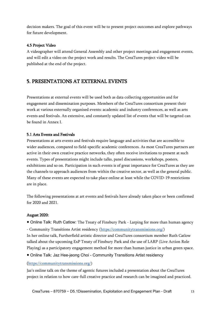decision makers. The goal of this event will be to present project outcomes and explore pathways for future development.

#### <span id="page-12-0"></span>4.5 Project Video

A videographer will attend General Assembly and other project meetings and engagement events, and will edit a video on the project work and results. The CreaTures project video will be published at the end of the project.

## <span id="page-12-1"></span>5. PRESENTATIONS AT EXTERNAL EVENTS

Presentations at external events will be used both as data collecting opportunities and for engagement and dissemination purposes. Members of the CreaTures consortium present their work at various externally organised events: academic and industry conferences, as well as arts events and festivals. An extensive, and constantly updated list of events that will be targeted can be found in Annex I.

#### <span id="page-12-2"></span>5.1 Arts Events and Festivals

Presentations at arts events and festivals require language and activities that are accessible to wider audiences, compared to field-specific academic conferences. As most CreaTures partners are active in their own creative practice networks, they often receive invitations to present at such events. Types of presentations might include talks, panel discussions, workshops, posters, exhibitions and so on. Participation in such events is of great importance for CreaTures as they are the channels to approach audiences from within the creative sector, as well as the general public. Many of these events are expected to take place online at least while the COVID-19 restrictions are in place.

The following presentations at art events and festivals have already taken place or been confirmed for 2020 and 2021.

#### August 2020:

• Online Talk: Ruth Catlow: The Treaty of Finsbury Park - Larping for more than human agency

- Community Transitions Artist residency [\(https://communitytransmissions.org/\)](https://aus01.safelinks.protection.outlook.com/?url=https%3A%2F%2Fcommunitytransmissions.org%2F&data=02%7C01%7Ccristina.ampatzidou%40rmit.edu.au%7C5e47fa8a31bd4d919c2908d85a4ade68%7Cd1323671cdbe4417b4d4bdb24b51316b%7C0%7C0%7C637358624900828499&sdata=iy4SsoPARZOE%2FWpnVh3bDA02uWOyl3ii7FkG3AMwN%2F0%3D&reserved=0) In her online talk, Furtherfield artistic director and CreaTures consortium member Ruth Catlow talked about the upcoming ExP Treaty of Finsbury Park and the use of LARP (Live Action Role Playing) as a participatory engagement method for more than human justice in urban green space.

● Online Talk: Jaz Hee-jeong Choi - Community Transitions Artist residency

#### ([https://communitytransmissions.org/\)](https://aus01.safelinks.protection.outlook.com/?url=https%3A%2F%2Fcommunitytransmissions.org%2F&data=02%7C01%7Ccristina.ampatzidou%40rmit.edu.au%7C5e47fa8a31bd4d919c2908d85a4ade68%7Cd1323671cdbe4417b4d4bdb24b51316b%7C0%7C0%7C637358624900828499&sdata=iy4SsoPARZOE%2FWpnVh3bDA02uWOyl3ii7FkG3AMwN%2F0%3D&reserved=0)

Jaz's online talk on the theme of agentic futures included a presentation about the CreaTures project in relation to how care-full creative practice and research can be imagined and practiced.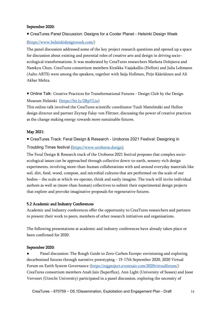#### September 2020:

● CreaTures Panel Discussion: Designs for a Cooler Planet - Helsinki Design Week

#### ([https://www.helsinkidesignweek.com/\)](https://www.helsinkidesignweek.com/)

The panel discussion addressed some of the key project research questions and opened up a space for discussion about existing and potential roles of creative arts and design in driving socioecological transformations. It was moderated by CreaTures researchers Marketa Dolejsova and Namkyu Chun. CreaTures consortium members Kirsikka Vaajakallio (Hellon) and Julia Lohmann (Aalto ARTS) were among the speakers, together with Saija Hollmen, Pirjo Kääriäinen and Ali Akbar Mehta.

● Online Talk: Creative Practices for Transformational Futures - Design Club by the Design Museum Helsinki [\(https://bit.ly/2RpVLiu\)](https://bit.ly/2RpVLiu)

This online talk involved the CreaTures scientific coordinator Tuuli Mattelmäki and Hellon design director and partner Zeynep Falay von Flittner, discussing the power of creative practices as the change making energy towards more sustainable futures.

#### May 2021:

● CreaTures Track: Feral Design & Research - Uroboros 2021 Festival: Designing in

Troubling Times festival ([https://www.uroboros.design\)](https://www.uroboros.design/)

The Feral Design & Research track of the Uroboros 2021 festival proposes that complex socioecological issues can be approached through collective down-to-earth, sensory-rich design experiments, involving more-than-human collaborations with and around everyday materials like soil, dirt, food, wood, compost, and microbial cultures that are performed on the scale of our bodies – the scale at which we operate, think and easily imagine. The track will invite individual authors as well as (more-than-human) collectives to submit their experimental design projects that explore and provoke imaginative proposals for regenerative futures.

#### <span id="page-13-0"></span>5.2 Academic and Industry Conferences

Academic and Industry conferences offer the opportunity to CreaTures researchers and partners to present their work to peers, members of other research initiatives and organisations.

The following presentations at academic and industry conferences have already taken place or been confirmed for 2020.

#### September 2020:

Panel discussion: The Rough Guide to Zero-Carbon Europe: envisioning and exploring decarbonised futures through narrative prototyping - 15-17th September 2020, 2020 Virtual Forum on Earth System Governance [\(https://esgproject.eventsair.com/2020virtualforum/\)](https://esgproject.eventsair.com/2020virtualforum/) CreaTures consortium members Anab Jain (Superflux), Ann Light (University of Sussex) and Joost Vervoort (Utrecht University) participated in a panel discussion, exploring the necessity of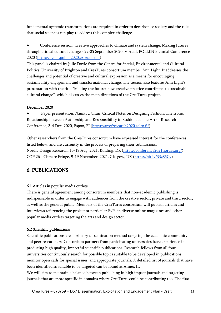fundamental systemic transformations are required in order to decarbonise society and the role that social sciences can play to address this complex challenge.

Conference session: Creative approaches to climate and system change: Making futures through critical cultural change - 22-25 September 2020, Virtual, POLLEN Biennial Conference 2020 [\(https://event.pollen2020.exordo.com\)](https://event.pollen2020.exordo.com/)

This panel is chaired by Julie Doyle from the Centre for Spatial, Environmental and Cultural Politics, University of Brighton and CreaTures consortium member Ann Light. It addresses the challenges and potential of creative and cultural expression as a means for encouraging sustainability engagement and transformational change. The session also features Ann Light's presentation with the title "Making the future: how creative practice contributes to sustainable cultural change", which discusses the main directions of the CreaTures project.

#### December 2020

Paper presentation: Namkyu Chun, Critical Notes on Designing Fashion, The Ironic Relationship between Authorship and Responsibility in Fashion, at The Art of Research Conference, 3-4 Dec. 2020, Espoo, FI [\(https://artofresearch2020.aalto.fi/\)](https://artofresearch2020.aalto.fi/)

Other researchers from the CreaTures consortium have expressed interest for the conferences listed below, and are currently in the process of preparing their submissions: Nordic Design Research, 15-18 Aug. 2021, Kolding, DK [\(https://conference2021nordes.org/\)](https://conference2021nordes.org/) COP 26 - Climate Fringe, 9-19 November, 2021, Glasgow, UK [\(https://bit.ly/33z85Cv\)](https://bit.ly/33z85Cv)

## <span id="page-14-0"></span>6. PUBLICATIONS

#### <span id="page-14-1"></span>6.1 Articles in popular media outlets

There is general agreement among consortium members that non-academic publishing is indispensable in order to engage with audiences from the creative sector, private and third sector, as well as the general public. Members of the CreaTures consortium will publish articles and interviews referencing the project or particular ExPs in diverse online magazines and other popular media outlets targeting the arts and design sector.

#### <span id="page-14-2"></span>6.2 Scientific publications

Scientific publications are a primary dissemination method targeting the academic community and peer researchers. Consortium partners from participating universities have experience in producing high quality, impactful scientific publications. Research fellows from all four universities continuously search for possible topics suitable to be developed in publications, monitor open calls for special issues, and appropriate journals. A detailed list of journals that have been identified as suitable to be targeted can be found at Annex II.

We will aim to maintain a balance between publishing in high impact journals and targeting journals that are more specific in domains where CreaTures could be contributing too. The first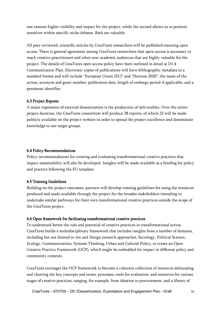one ensures higher visibility and impact for the project, while the second allows us to position ourselves within specific niche debates. Both are valuable.

All peer-reviewed, scientific articles by CreaTures researchers will be published ensuring open access. There is general agreement among CreaTures researchers that open-access is necessary to reach creative practitioners and other non-academic audiences that are highly valuable for the project. The details of CreaTures open access policy have been outlined in detail at D1.4 Communication Plan. Electronic copies of publications will have bibliographic metadata in a standard format and will include "European Union (EU)" and "Horizon 2020", the name of the action, acronym and grant number, publication date, length of embargo period if applicable, and a persistent identifier.

#### <span id="page-15-0"></span>6.3 Project Reports

A major expression of external dissemination is the production of deliverables. Over the entire project duration, the CreaTures consortium will produce 28 reports, of which 22 will be made publicly available on the project website in order to spread the project excellence and disseminate knowledge to our target groups.

#### <span id="page-15-1"></span>6.4 Policy Recommendations

Policy recommendations for creating and evaluating transformational creative practices that impact sustainability will also be developed. Insights will be made available as a briefing for policy and practice following the EU template.

#### <span id="page-15-2"></span>6.5 Training Guidelines

Building on the project outcomes, partners will develop training guidelines for using the resources produced and made available through the project for the broader stakeholders intending to undertake similar pathways for their own transformational creative practices outside the scope of the CreaTures project.

#### <span id="page-15-3"></span>6.6 Open framework for facilitating transformational creative practices

To understand better the role and potential of creative practices in transformational action, CreaTures builds a multidisciplinary framework that includes insights from a number of domains, including but not limited to Art and Design research approaches, Sociology, Political Science, Ecology, Communications, Systems Thinking, Urban and Cultural Policy, to create an Open Creative Practice Framework (OCP), which might be embedded for impact in different policy and community contexts.

CreaTures envisages the OCP framework to become a coherent collection of resources delineating and charting the key concepts and terms, processes, tools for evaluation, and resources for various stages of creative practices, ranging, for example, from ideation to procurement, and a library of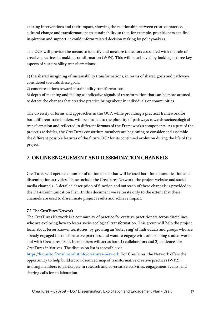existing interventions and their impact, showing the relationship between creative practice, cultural change and transformations to sustainability so that, for example, practitioners can find inspiration and support, it could inform related decision making by policymakers.

The OCP will provide the means to identify and measure indicators associated with the role of creative practices in making transformation (WP4). This will be achieved by looking at three key aspects of sustainability transformations:

1) the shared imagining of sustainability transformations, in terms of shared goals and pathways considered towards these goals;

2) concrete actions toward sustainability transformations;

3) depth of meaning and feeling as indicative signals of transformation that can be more attuned to detect the changes that creative practice brings about in individuals or communities

The diversity of forms and approaches in the OCP, while providing a practical framework for both different stakeholders, will be attuned to the plurality of pathways towards socioecological transformation and reflected in different formats of the Framework's components. As a part of the project's activities, the CreaTures consortium members are beginning to consider and assemble the different possible features of the future OCP for its continued evolution during the life of the project.

## <span id="page-16-0"></span>7. ONLINE ENGAGEMENT AND DISSEMINATION CHANNELS

CreaTures will operate a number of online media that will be used both for communication and dissemination activities. These include the CreaTures Network, the project website and social media channels. A detailed description of function and outreach of these channels is provided in the D1.4 Communication Plan. In this document we reiterate only to the extent that these channels are used to disseminate project results and achieve impact.

#### <span id="page-16-1"></span>7.1 The CreaTures Network

The CreaTures Network is a community of practice for creative practitioners across disciplines who are exploring how to foster socio-ecological transformation. This group will help the project learn about lesser known territories, by growing an 'outer ring' of individuals and groups who are already engaged in transformative practices, and want to engage with others doing similar work and with CreaTures itself. Its members will act as both 1) collaborators and 2) audiences for CreaTures initiatives. The discussion list is accessible via

<https://list.aalto.fi/mailman/listinfo/creatures-network>For CreaTures, the Network offers the opportunity to help build a crowdsourced map of transformative creative practices (WP2), inviting members to participate in research and co-creative activities, engagement events, and sharing calls for collaboration.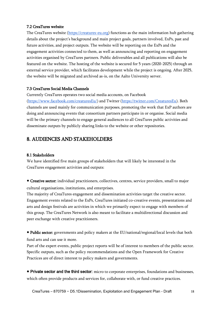#### <span id="page-17-0"></span>7.2 CreaTures website

The CreaTures website [\(https://creatures-eu.org\)](https://creatures-eu.org/) functions as the main information hub gathering details about the project's background and main project goals, partners involved, ExPs, past and future activities, and project outputs. The website will be reporting on the ExPs and the engagement activities connected to them, as well as announcing and reporting on engagement activities organised by CreaTures partners. Public deliverables and all publications will also be featured on the website. The hosting of the website is secured for 5 years (2020-2025) through an external service provider, which facilitates development while the project is ongoing. After 2025, the website will be migrated and archived as-is, on the Aalto University server.

#### <span id="page-17-1"></span>7.3 CreaTures Social Media Channels

Currently CreaTures operates two social media accounts, on Facebook [\(https://www.facebook.com/creaturesEu/\)](https://www.facebook.com/creaturesEu/) and Twitter [\(https://twitter.com/CreaturesEu\)](https://twitter.com/CreaturesEu). Both channels are used mainly for communication purposes, promoting the work that ExP authors are doing and announcing events that consortium partners participate in or organise. Social media will be the primary channels to engage general audiences to all CreaTures public activities and disseminate outputs by publicly sharing links to the website or other repositories.

## <span id="page-17-2"></span>8. AUDIENCES AND STAKEHOLDERS

#### <span id="page-17-3"></span>8.1 Stakeholders

We have identified five main groups of stakeholders that will likely be interested in the CreaTures engagement activities and outputs:

● Creative sector: individual practitioners, collectives, centres, service providers, small to major cultural organisations, institutions, and enterprises.

The majority of CreaTures engagement and dissemination activities target the creative sector. Engagement events related to the ExPs, CreaTures initiated co-creative events, presentations and arts and design festivals are activities in which we primarily expect to engage with members of this group. The CreaTures Network is also meant to facilitate a multidirectional discussion and peer exchange with creative practitioners.

● Public sector: governments and policy makers at the EU/national/regional/local levels that both fund arts and can use it more.

Part of the expert events, public project reports will be of interest to members of the public sector. Specific outputs, such as the policy recommendations and the Open Framework for Creative Practices are of direct interest to policy makers and governments.

● Private sector and the third sector: micro to corporate enterprises, foundations and businesses, which often provide products and services for, collaborate with, or fund creative practices.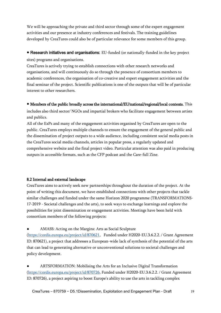We will be approaching the private and third sector through some of the expert engagement activities and our presence at industry conferences and festivals. The training guidelines developed by CreaTures could also be of particular relevance for some members of this group.

● Research initiatives and organisations: EU-funded (or nationally-funded in the key project sites) programs and organisations.

CreaTures is actively trying to establish connections with other research networks and organisations, and will continuously do so through the presence of consortium members to academic conferences, the organisation of co-creative and expert engagement activities and the final seminar of the project. Scientific publications is one of the outputs that will be of particular interest to other researchers.

● Members of the public broadly across the international/EU/national/regional/local contexts. This

includes also third sector/ NGOs and impartial brokers who facilitate engagement between artists and publics.

All of the ExPs and many of the engagement activities organised by CreaTures are open to the public. CreaTures employs multiple channels to ensure the engagement of the general public and the dissemination of project outputs to a wide audience, including consistent social media posts in the CreaTures social media channels, articles in popular press, a regularly updated and comprehensive website and the final project video. Particular attention was also paid in producing outputs in accessible formats, such as the CFP podcast and the Care-full Zine.

#### <span id="page-18-0"></span>8.2 Internal and external landscape

CreaTures aims to actively seek new partnerships throughout the duration of the project. At the point of writing this document, we have established connections with other projects that tackle similar challenges and funded under the same Horizon 2020 programme (TRANSFORMATIONS-17-2019 - Societal challenges and the arts), to seek ways to exchange learnings and explore the possibilities for joint dissemination or engagement activities. Meetings have been held with consortium members of the following projects:

AMASS: Acting on the Margins: Arts as Social Sculpture

[\(https://cordis.europa.eu/project/id/870621,](https://cordis.europa.eu/project/id/870621) Funded under H2020-EU.3.6.2.2. / Grant Agreement ID: 870621), a project that addresses a European-wide lack of synthesis of the potential of the arts that can lead to generating alternative or unconventional solutions to societal challenges and policy development.

ARTSFORMATION: Mobilising the Arts for an Inclusive Digital Transformation [\(https://cordis.europa.eu/project/id/870726,](https://cordis.europa.eu/project/id/870726) Funded under H2020-EU.3.6.2.2. / Grant Agreement ID: 870726), a project aspiring to boost Europe's ability to use the arts in tackling complex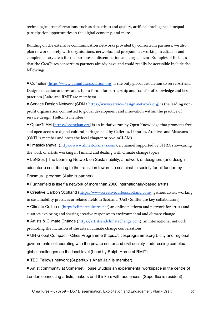technological transformations, such as data ethics and quality, artificial intelligence, unequal participation opportunities in the digital economy, and more.

Building on the extensive communication networks provided by consortium partners, we also plan to work closely with organisations, networks, and programmes working in adjacent and complementary areas for the purposes of dissemination and engagement. Examples of linkages that the CreaTures consortium partners already have and could readily be accessible include the followings:

• Cumulus ([https://www.cumulusassociation.org\)](https://www.cumulusassociation.org/) is the only global association to serve Art and Design education and research. It is a forum for partnership and transfer of knowledge and best practices (Aalto and RMIT are members).

• Service Design Network (SDN / [https://www.service-design-network.org\)](https://www.service-design-network.org/) is the leading nonprofit organisation committed to global development and innovation within the practice of service design (Hellon is member).

• OpenGLAM ([https://openglam.org\)](https://openglam.org/) is an initiative run by Open Knowledge that promotes free and open access to digital cultural heritage held by Galleries, Libraries, Archives and Museums (OKFI is member and hosts the local chapter or AvoinGLAM).

● Ilmastokanava ([https://www.ilmastokanava.com\)](https://www.ilmastokanava.com/), a channel supported by SITRA showcasing the work of artists working in Finland and dealing with climate change topics

● LeNSes | The Learning Network on Sustainability, a network of designers (and design educators) contributing to the transition towards a sustainable society for all funded by Erasmus+ program (Aalto is partner).

● Furtherfield is itself a network of more than 2000 internationally-based artists.

• Creative Carbon Scotland ([https://www.creativecarbonscotland.com/\)](https://www.creativecarbonscotland.com/) gathers artists working in sustainability practices or related fields in Scotland (UoS / Sniffer are key collaborators).

● Climate Cultures ([https://climatecultures.net\)](https://climatecultures.net/) an online platform and network for artists and curators exploring and sharing creative responses to environmental and climate change.

● Artists & Climate Change ([https://artistsandclimatechange.com\)](https://artistsandclimatechange.com/), an international network promoting the inclusion of the arts in climate change conversations.

● UN Global Compact - Cities Programme (https://citiesprogramme.org ): city and regional governments collaborating with the private sector and civil society - addressing complex global challenges on the local level (Lead by Ralph Horne at RMIT).

● TED Fellows network (Superflux's Anab Jain is member).

● Artist community at Somerset House Studios an experimental workspace in the centre of London connecting artists, makers and thinkers with audiences. (Superflux is resident).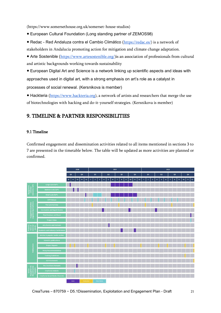(https://www.somersethouse.org.uk/somerset-house-studios)

- European Cultural Foundation (Long standing partner of ZEMOS98)
- Redac Red Andaluza contra el Cambio Climático ([https://redac.es/\)](https://redac.es/) is a network of stakeholders in Andalucia promoting action for mitigation and climate change adaptation.
- Arte Sostenible ([https://www.artesostenible.org/\)](https://www.artesostenible.org/) is an association of professionals from cultural and artistic backgrounds working towards sustainability
- European Digital Art and Science is a network linking up scientific aspects and ideas with approaches used in digital art, with a strong emphasis on art's role as a catalyst in processes of social renewal. (Kersnikova is member)
- Hackteria ([https://www.hackteria.org\)](https://www.hackteria.org/), a network of artists and researchers that merge the use of biotechnologies with hacking and do-it-yourself strategies. (Kersnikova is member)

## <span id="page-20-0"></span>9. TIMELINE & PARTNER RESPONSIBILITIES

#### <span id="page-20-1"></span>9.1 Timeline

Confirmed engagement and dissemination activities related to all items mentioned in sections 3 to 7 are presented in the timetable below. The table will be updated as more activities are planned or confirmed.

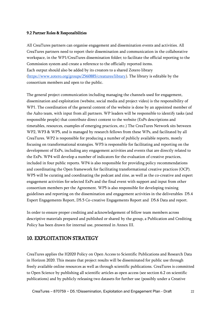#### <span id="page-21-0"></span>9.2 Partner Roles & Responsibilities

All CreaTures partners can organise engagement and dissemination events and activities. All CreaTures partners need to report their dissemination and communication in the collaborative workspace, in the WP1/CreaTures dissemination folder; to facilitate the official reporting to the Commission system and create a reference to the officially reported items. Each output should also be added by its creators to a shared Zotero library [\(https://www.zotero.org/groups/2560885/creatures/library\)](https://www.zotero.org/groups/2560885/creatures/library). The library is editable by the consortium members and open to the public.

The general project communication including managing the channels used for engagement, dissemination and exploitation (website, social media and project video) is the responsibility of WP1. The coordination of the general content of the website is done by an appointed member of the Aalto team, with input from all partners. WP leaders will be responsible to identify tasks (and responsible people) that contribute direct content to the website (ExPs descriptions and timetables, resources, examples of emerging practices, etc.) The CreaTures Network sits between WP2, WP3 & WP5, and is managed by research fellows from these WPs, and facilitated by all CreaTures. WP2 is responsible for producing a number of publicly available reports, mostly focusing on transformational strategies. WP3 is responsible for facilitating and reporting on the development of ExPs, including any engagement activities and events that are directly related to the ExPs. WP4 will develop a number of indicators for the evaluation of creative practices, included in four public reports. WP4 is also responsible for providing policy recommendations and coordinating the Open framework for facilitating transformational creative practices (OCP). WP5 will be curating and coordinating the podcast and zine, as well as the co-creative and expert engagement activities for selected ExPs and the final event with support and input from other consortium members per the Agreement. WP5 is also responsible for developing training guidelines and reporting on the dissemination and engagement activities in the deliverables D5.4 Expert Engagements Report, D5.5 Co-creative Engagements Report and D5.6 Data and report.

In order to ensure proper crediting and acknowledgement of fellow team members across descriptive materials prepared and published or shared by the group, a Publication and Crediting Policy has been drawn for internal use, presented in Annex III.

## <span id="page-21-1"></span>10. EXPLOITATION STRATEGY

CreaTures applies the H2020 Policy on Open Access to Scientific Publications and Research Data in Horizon 2020. This means that project results will be disseminated for public use through freely available online resources as well as through scientific publications. CreaTures is committed to Open Science by publishing all scientific articles as open access (see section 6.2 on scientific publications) and by publicly releasing two datasets for further use (possibly under a Creative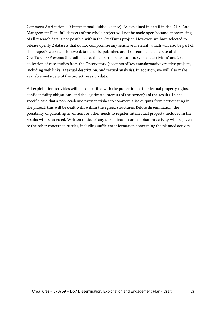Commons Attribution 4.0 International Public License). As explained in detail in the D1.3 Data Management Plan, full datasets of the whole project will not be made open because anonymising of all research data is not possible within the CreaTures project. However, we have selected to release openly 2 datasets that do not compromise any sensitive material, which will also be part of the project's website. The two datasets to be published are: 1) a searchable database of all CreaTures ExP events (including date, time, participants, summary of the activities) and 2) a collection of case studies from the Observatory (accounts of key transformative creative projects, including web links, a textual description, and textual analysis). In addition, we will also make available meta-data of the project research data.

All exploitation activities will be compatible with the protection of intellectual property rights, confidentiality obligations, and the legitimate interests of the owner(s) of the results. In the specific case that a non-academic partner wishes to commercialise outputs from participating in the project, this will be dealt with within the agreed structures. Before dissemination, the possibility of patenting inventions or other needs to register intellectual property included in the results will be assessed. Written notice of any dissemination or exploitation activity will be given to the other concerned parties, including sufficient information concerning the planned activity.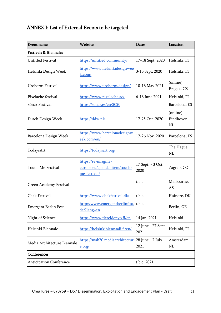## <span id="page-23-0"></span>ANNEX I: List of External Events to be targeted

| <b>Event name</b>                | Website                                                             | <b>Dates</b>               | Location                     |
|----------------------------------|---------------------------------------------------------------------|----------------------------|------------------------------|
| <b>Festivals &amp; Biennales</b> |                                                                     |                            |                              |
| Untitled Festival                | https://untitled.community/                                         | 17-18 Sept. 2020           | Helsinki, FI                 |
| Helsinki Design Week             | https://www.helsinkidesignwee<br>k.com/                             | 3-13 Sept. 2020            | Helsinki, FI                 |
| <b>Uroboros Festival</b>         | https://www.uroboros.design/                                        | 10-16 May 2021             | (online)<br>Prague, CZ       |
| Pixelache festival               | <u>https://www.pixelache.ac/</u>                                    | 6-13 June 2021             | Helsinki, FI                 |
| Sónar Festival                   | https://sonar.es/en/2020                                            |                            | Barcelona, ES                |
| Dutch Design Week                | https://ddw.nl/                                                     | 17-25 Oct. 2020            | (online)<br>Eindhoven,<br>NL |
| Barcelona Design Week            | https://www.barcelonadesignw<br>eek.com/en/                         | 17-26 Nov. 2020            | Barcelona, ES                |
| TodaysArt                        | https://todaysart.org/                                              |                            | The Hague,<br>NL             |
| Touch Me Festival                | https://re-imagine-<br>europe.eu/agenda_item/touch-<br>me-festival/ | 17 Sept. - 3 Oct.<br>2020  | Zagreb, CO                   |
| Green Academy Festival           |                                                                     | t.b.c                      | Melbourne,<br>AS             |
| Click Festival                   | https://www.clickfestival.dk/                                       | t.b.c.                     | Elsinore, DK                 |
| <b>Emergent Berlin Fest</b>      | http://www.emergentberlinfest.<br>de/?lang=en                       | t.b.c.                     | Berlin, GE                   |
| Night of Science                 | https://www.tieteidenyo.fi/en                                       | 14 Jan. 2021               | Helsinki                     |
| Helsinki Biennale                | https://helsinkibiennaali.fi/en/                                    | 12 June - 27 Sept.<br>2021 | Helsinki, FI                 |
| Media Architecture Biennale      | https://mab20.mediaarchitectur<br>e.org/                            | 28 June - 2 July<br>2021   | Amsterdam,<br>NL             |
| Conferences                      |                                                                     |                            |                              |
| <b>Anticipation Conference</b>   |                                                                     | t.b.c. 2021                |                              |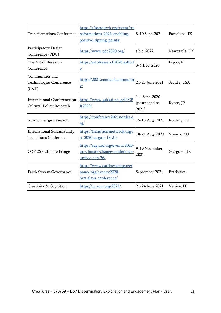| <b>Transformations Conference</b>                                    | https://t2sresearch.org/event/tra<br>nsformations-2021-enabling-<br>positive-tipping-points/ | 8-10 Sept. 2021                          | Barcelona, ES     |
|----------------------------------------------------------------------|----------------------------------------------------------------------------------------------|------------------------------------------|-------------------|
| Participatory Design<br>Conference (PDC)                             | https://www.pdc2020.org/                                                                     | t.b.c. 2022                              | Newcastle, UK     |
| The Art of Research<br>Conference                                    | https://artofresearch2020.aalto.f<br>$\frac{i}{\sqrt{2}}$                                    | 3-4 Dec. 2020                            | Espoo, FI         |
| Communities and<br><b>Technologies Conference</b><br>(C&T)           | https://2021.comtech.communit<br><u>y/</u>                                                   | 21-25 June 2021                          | Seattle, USA      |
| International Conference on<br>Cultural Policy Research              | https://www.gakkai.ne.jp/ICCP<br>R2020/                                                      | 1-4 Sept. 2020<br>(postponed to<br>2021) | Kyoto, JP         |
| Nordic Design Research                                               | https://conference2021nordes.o<br><u>rg/</u>                                                 | 15-18 Aug. 2021                          | Kolding, DK       |
| <b>International Sustainability</b><br><b>Transitions Conference</b> | https://transitionsnetwork.org/i<br>st-2020-august-18-21/                                    | 18-21 Aug. 2020                          | Vienna, AU        |
| COP 26 - Climate Fringe                                              | https://sdg.iisd.org/events/2020-<br>un-climate-change-conference-<br>unfccc-cop-26/         | 9-19 November,<br>2021                   | Glasgow, UK       |
| Earth System Governance                                              | https://www.earthsystemgover<br>nance.org/events/2020-<br>bratislava-conference/             | September 2021                           | <b>Bratislava</b> |
| Creativity & Cognition                                               | https://cc.acm.org/2021/                                                                     | 21-24 June 2021                          | Venice, IT        |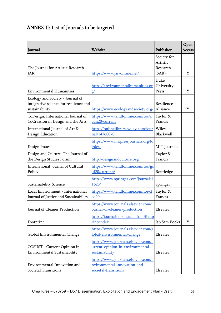## <span id="page-25-0"></span>ANNEX II: List of Journals to be targeted

| Journal                                                                                      | Website                                                                                     | Publisher                                    | Open<br><b>Access</b> |
|----------------------------------------------------------------------------------------------|---------------------------------------------------------------------------------------------|----------------------------------------------|-----------------------|
| The Journal for Artistic Research -<br><b>JAR</b>                                            | https://www.jar-online.net/                                                                 | Society for<br>Artistic<br>Research<br>(SAR) | Y                     |
| <b>Environmental Humanities</b>                                                              | https://environmentalhumanities.or<br>g/                                                    | Duke<br>University<br>Press                  | Y                     |
| Ecology and Society - Journal of<br>integrative science for resilience and<br>sustainability | https://www.ecologyandsociety.org/                                                          | Resilience<br>Alliance                       | Y                     |
| CoDesign. International Journal of<br>CoCreation in Design and the Arts                      | https://www.tandfonline.com/toc/n<br>cdn20/current                                          | Taylor &<br>Francis                          |                       |
| International Journal of Art &<br>Design Education                                           | https://onlinelibrary.wiley.com/jour<br>nal/14768070                                        | Wiley-<br>Blackwell                          |                       |
| Design Issues                                                                                | https://www.mitpressjournals.org/lo<br>i/desi                                               | MIT Journals                                 |                       |
| Design and Culture. The Journal of<br>the Design Studies Forum                               | http://designandculture.org/                                                                | Taylor &<br>Francis                          |                       |
| International Journal of Cultural<br>Policy                                                  | https://www.tandfonline.com/toc/gc<br>ul20/current#                                         | Routledge                                    |                       |
| Sustainability Science                                                                       | https://www.springer.com/journal/1<br>1625/                                                 | Springer                                     |                       |
| Local Environment - International<br>Journal of Justice and Sustainability                   | https://www.tandfonline.com/loi/cl<br>oe20                                                  | Taylor &<br>Francis                          |                       |
| Journal of Cleaner Production                                                                | https://www.journals.elsevier.com/j<br>ournal-of-cleaner-production                         | Elsevier                                     |                       |
| Footprint                                                                                    | https://journals.open.tudelft.nl/footp<br>rint/index                                        | Jap Sam Books                                | Y                     |
| Global Environmental Change                                                                  | https://www.journals.elsevier.com/g<br>lobal-environmental-change                           | Elsevier                                     |                       |
| COSUST - Current Opinion in<br>Environmental Sustainability                                  | https://www.journals.elsevier.com/c<br>urrent-opinion-in-environmental-<br>sustainability   | Elsevier                                     |                       |
| Environmental Innovation and<br>Societal Transitions                                         | https://www.journals.elsevier.com/e<br>nvironmental-innovation-and-<br>societal-transitions | Elsevier                                     |                       |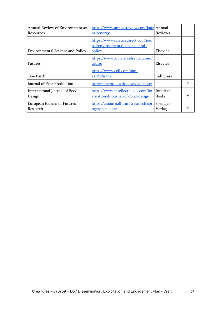| Resources                               | Annual Review of Environment and https://www.annualreviews.org/jour Annual<br>nal/energy | Reviews                   |   |
|-----------------------------------------|------------------------------------------------------------------------------------------|---------------------------|---|
| <b>Environmental Science and Policy</b> | https://www.sciencedirect.com/jour<br>nal/environmental-science-and-<br>policy           | Elsevier                  |   |
| <b>Futures</b>                          | https://www.journals.elsevier.com/f<br>utures                                            | Elsevier                  |   |
| One Earth                               | https://www.cell.com/one-<br>earth/home                                                  | Cell press                |   |
| Journal of Peer Production              | http://peerproduction.net/editsuite/                                                     |                           | Y |
| International Journal of Food<br>Design | https://www.intellectbooks.com/int<br>ernational-journal-of-food-design                  | Intellect<br><b>Books</b> |   |
| European Journal of Futures<br>Research | https://eujournalfuturesresearch.spri<br>ngeropen.com/                                   | Springer<br>Verlag        |   |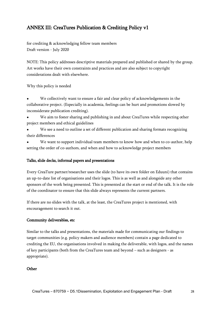## <span id="page-27-0"></span>ANNEX III: CreaTures Publication & Crediting Policy v1

for crediting & acknowledging fellow team members Draft version - July 2020

NOTE: This policy addresses descriptive materials prepared and published or shared by the group. Art works have their own constraints and practices and are also subject to copyright considerations dealt with elsewhere.

Why this policy is needed

We collectively want to ensure a fair and clear policy of acknowledgements in the collaborative project. (Especially in academia, feelings can be hurt and promotions slowed by inconsiderate publication crediting).

We aim to foster sharing and publishing in and about CreaTures while respecting other project members and ethical guidelines

We see a need to outline a set of different publication and sharing formats recognizing their differences

We want to support individual team members to know how and when to co-author, help setting the order of co-authors, and when and how to acknowledge project members

#### Talks, slide decks, informal papers and presentations

Every CreaTure partner/researcher uses the slide (to have its own folder on Eduuni) that contains an up-to-date list of organisations and their logos. This is as well as and alongside any other sponsors of the work being presented. This is presented at the start or end of the talk. It is the role of the coordinator to ensure that this slide always represents the current partners.

If there are no slides with the talk, at the least, the CreaTures project is mentioned, with encouragement to search it out.

#### Community deliverables, etc

Similar to the talks and presentations, the materials made for communicating our findings to target communities (e.g. policy makers and audience members) contain a page dedicated to crediting the EU, the organisations involved in making the deliverable, with logos, and the names of key participants (both from the CreaTures team and beyond – such as designers - as appropriate).

#### **Other**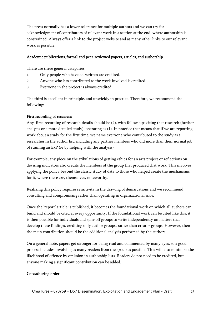The press normally has a lower tolerance for multiple authors and we can try for acknowledgment of contributors of relevant work in a section at the end, where authorship is constrained. Always offer a link to the project website and as many other links to our relevant work as possible.

#### Academic publications, formal and peer-reviewed papers, articles, and authorship

There are three general categories

- 1. Only people who have co-written are credited.
- 2. Anyone who has contributed to the work involved is credited.
- 3. Everyone in the project is always credited.

The third is excellent in principle, and unwieldy in practice. Therefore, we recommend the following:

#### First recording of research:

Any first recording of research details should be (2), with follow-ups citing that research (further analysis or a more detailed study), operating as (1). In practice that means that if we are reporting work about a study for the first time, we name everyone who contributed to the study as a researcher in the author list, including any partner members who did more than their normal job of running an ExP (ie by helping with the analysis).

For example, any piece on the tribulations of getting ethics for an arts project or reflections on devising indicators also credits the members of the group that produced that work. This involves applying the policy beyond the classic study of data to those who helped create the mechanisms for it, where these are, themselves, noteworthy.

Realizing this policy requires sensitivity in the drawing of demarcations and we recommend consulting and compromising rather than operating in organizational silos.

Once the 'report' article is published, it becomes the foundational work on which all authors can build and should be cited at every opportunity. If the foundational work can be cited like this, it is then possible for individuals and spin-off groups to write independently on matters that develop these findings, crediting only author groups, rather than creator groups. However, then the main contribution should be the additional analysis performed by the authors.

On a general note, papers get stronger for being read and commented by many eyes, so a good process includes involving as many readers from the group as possible. This will also minimize the likelihood of offence by omission in authorship lists. Readers do not need to be credited, but anyone making a significant contribution can be added.

#### Co-authoring order